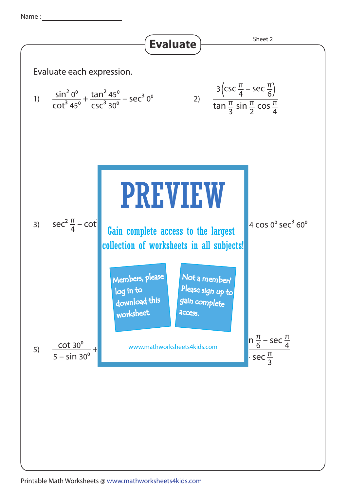